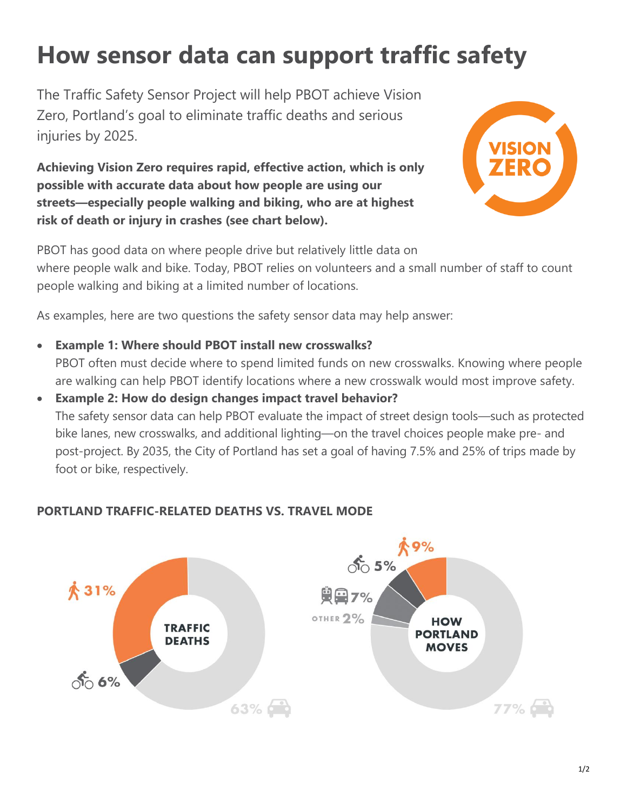## **How sensor data can support traffic safety**

The Traffic Safety Sensor Project will help PBOT achieve Vision Zero, Portland's goal to eliminate traffic deaths and serious injuries by 2025.

**Achieving Vision Zero requires rapid, effective action, which is only possible with accurate data about how people are using our streets—especially people walking and biking, who are at highest risk of death or injury in crashes (see chart below).**



PBOT has good data on where people drive but relatively little data on where people walk and bike. Today, PBOT relies on volunteers and a small number of staff to count people walking and biking at a limited number of locations.

As examples, here are two questions the safety sensor data may help answer:

- **Example 1: Where should PBOT install new crosswalks?** PBOT often must decide where to spend limited funds on new crosswalks. Knowing where people are walking can help PBOT identify locations where a new crosswalk would most improve safety.
- **Example 2: How do design changes impact travel behavior?** The safety sensor data can help PBOT evaluate the impact of street design tools—such as protected bike lanes, new crosswalks, and additional lighting—on the travel choices people make pre- and post-project. By 2035, the City of Portland has set a goal of having 7.5% and 25% of trips made by foot or bike, respectively.

## **PORTLAND TRAFFIC-RELATED DEATHS VS. TRAVEL MODE**